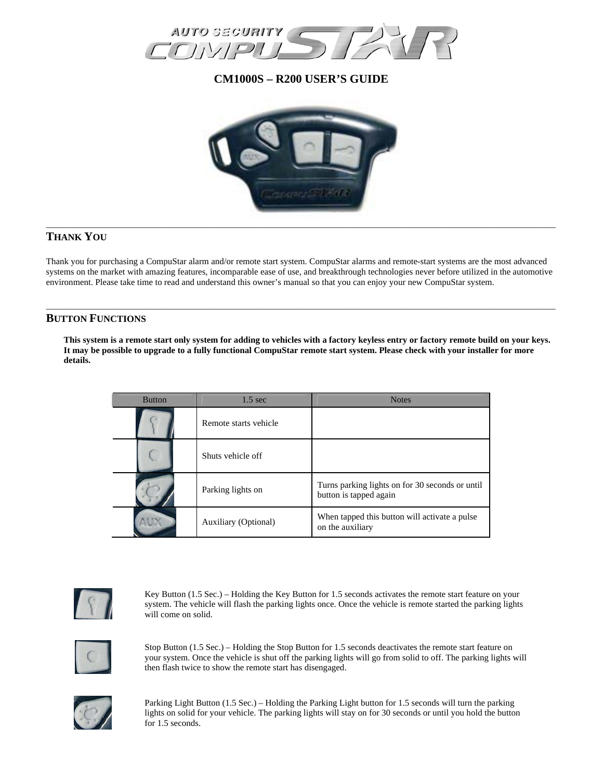

**CM1000S – R200 USER'S GUIDE** 



# **THANK YOU**

Thank you for purchasing a CompuStar alarm and/or remote start system. CompuStar alarms and remote-start systems are the most advanced systems on the market with amazing features, incomparable ease of use, and breakthrough technologies never before utilized in the automotive environment. Please take time to read and understand this owner's manual so that you can enjoy your new CompuStar system.

\_\_\_\_\_\_\_\_\_\_\_\_\_\_\_\_\_\_\_\_\_\_\_\_\_\_\_\_\_\_\_\_\_\_\_\_\_\_\_\_\_\_\_\_\_\_\_\_\_\_\_\_\_\_\_\_\_\_\_\_\_\_\_\_\_\_\_\_\_\_\_\_\_\_\_\_\_\_\_\_\_\_\_\_\_\_\_\_\_\_\_\_\_\_\_\_\_\_\_\_\_\_\_\_\_\_\_\_\_\_\_\_\_\_\_

## **BUTTON FUNCTIONS**

**This system is a remote start only system for adding to vehicles with a factory keyless entry or factory remote build on your keys. It may be possible to upgrade to a fully functional CompuStar remote start system. Please check with your installer for more details.** 

| <b>Button</b> | $1.5 \text{ sec}$           | <b>Notes</b>                                                              |
|---------------|-----------------------------|---------------------------------------------------------------------------|
|               | Remote starts vehicle       |                                                                           |
|               | Shuts vehicle off           |                                                                           |
|               | Parking lights on           | Turns parking lights on for 30 seconds or until<br>button is tapped again |
|               | <b>Auxiliary (Optional)</b> | When tapped this button will activate a pulse<br>on the auxiliary         |



Key Button (1.5 Sec.) – Holding the Key Button for 1.5 seconds activates the remote start feature on your system. The vehicle will flash the parking lights once. Once the vehicle is remote started the parking lights will come on solid.



Stop Button (1.5 Sec.) – Holding the Stop Button for 1.5 seconds deactivates the remote start feature on your system. Once the vehicle is shut off the parking lights will go from solid to off. The parking lights will then flash twice to show the remote start has disengaged.



Parking Light Button (1.5 Sec.) – Holding the Parking Light button for 1.5 seconds will turn the parking lights on solid for your vehicle. The parking lights will stay on for 30 seconds or until you hold the button for 1.5 seconds.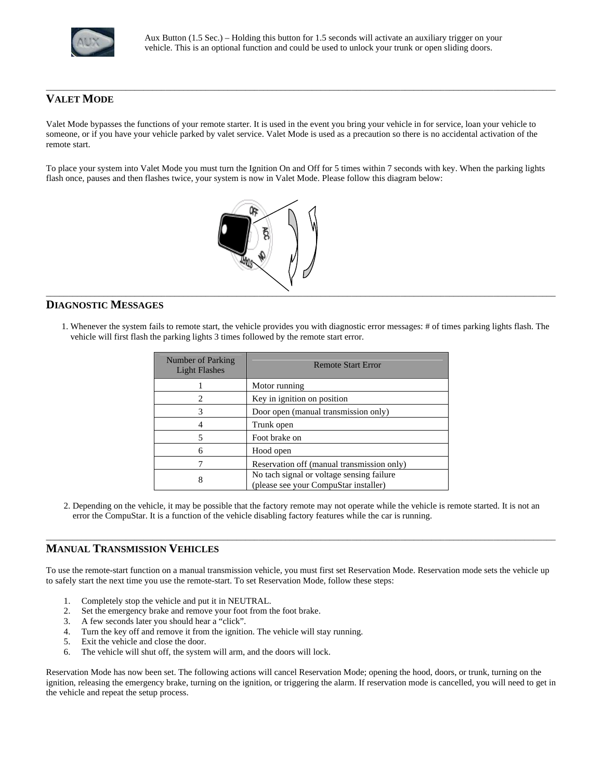

# **VALET MODE**

Valet Mode bypasses the functions of your remote starter. It is used in the event you bring your vehicle in for service, loan your vehicle to someone, or if you have your vehicle parked by valet service. Valet Mode is used as a precaution so there is no accidental activation of the remote start.

\_\_\_\_\_\_\_\_\_\_\_\_\_\_\_\_\_\_\_\_\_\_\_\_\_\_\_\_\_\_\_\_\_\_\_\_\_\_\_\_\_\_\_\_\_\_\_\_\_\_\_\_\_\_\_\_\_\_\_\_\_\_\_\_\_\_\_\_\_\_\_\_\_\_\_\_\_\_\_\_\_\_\_\_\_\_\_\_\_\_\_\_\_\_\_\_\_\_\_\_\_\_\_\_\_\_\_\_\_\_\_\_\_\_\_

To place your system into Valet Mode you must turn the Ignition On and Off for 5 times within 7 seconds with key. When the parking lights flash once, pauses and then flashes twice, your system is now in Valet Mode. Please follow this diagram below:



## **DIAGNOSTIC MESSAGES**

 1. Whenever the system fails to remote start, the vehicle provides you with diagnostic error messages: # of times parking lights flash. The vehicle will first flash the parking lights 3 times followed by the remote start error.

| Number of Parking<br><b>Light Flashes</b> | <b>Remote Start Error</b>                                                          |  |
|-------------------------------------------|------------------------------------------------------------------------------------|--|
|                                           | Motor running                                                                      |  |
| 2                                         | Key in ignition on position                                                        |  |
| 3                                         | Door open (manual transmission only)                                               |  |
|                                           | Trunk open                                                                         |  |
| 5                                         | Foot brake on                                                                      |  |
| 6                                         | Hood open                                                                          |  |
|                                           | Reservation off (manual transmission only)                                         |  |
| 8                                         | No tach signal or voltage sensing failure<br>(please see your CompuStar installer) |  |

 2. Depending on the vehicle, it may be possible that the factory remote may not operate while the vehicle is remote started. It is not an error the CompuStar. It is a function of the vehicle disabling factory features while the car is running.

\_\_\_\_\_\_\_\_\_\_\_\_\_\_\_\_\_\_\_\_\_\_\_\_\_\_\_\_\_\_\_\_\_\_\_\_\_\_\_\_\_\_\_\_\_\_\_\_\_\_\_\_\_\_\_\_\_\_\_\_\_\_\_\_\_\_\_\_\_\_\_\_\_\_\_\_\_\_\_\_\_\_\_\_\_\_\_\_\_\_\_\_\_\_\_\_\_\_\_\_\_\_\_\_\_\_\_\_\_\_\_\_\_\_\_

### **MANUAL TRANSMISSION VEHICLES**

To use the remote-start function on a manual transmission vehicle, you must first set Reservation Mode. Reservation mode sets the vehicle up to safely start the next time you use the remote-start. To set Reservation Mode, follow these steps:

- 1. Completely stop the vehicle and put it in NEUTRAL.
- 2. Set the emergency brake and remove your foot from the foot brake.
- 3. A few seconds later you should hear a "click".
- 4. Turn the key off and remove it from the ignition. The vehicle will stay running.
- 5. Exit the vehicle and close the door.
- 6. The vehicle will shut off, the system will arm, and the doors will lock.

Reservation Mode has now been set. The following actions will cancel Reservation Mode; opening the hood, doors, or trunk, turning on the ignition, releasing the emergency brake, turning on the ignition, or triggering the alarm. If reservation mode is cancelled, you will need to get in the vehicle and repeat the setup process.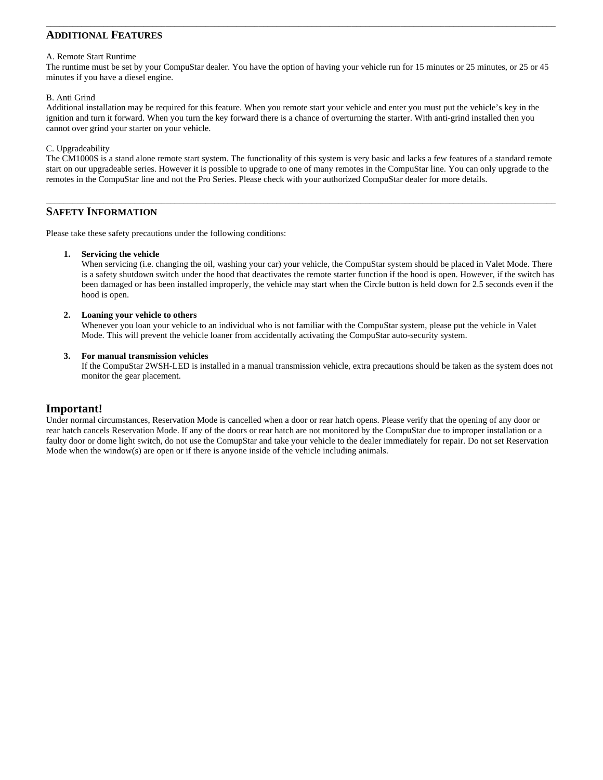# **ADDITIONAL FEATURES**

#### A. Remote Start Runtime

The runtime must be set by your CompuStar dealer. You have the option of having your vehicle run for 15 minutes or 25 minutes, or 25 or 45 minutes if you have a diesel engine.

\_\_\_\_\_\_\_\_\_\_\_\_\_\_\_\_\_\_\_\_\_\_\_\_\_\_\_\_\_\_\_\_\_\_\_\_\_\_\_\_\_\_\_\_\_\_\_\_\_\_\_\_\_\_\_\_\_\_\_\_\_\_\_\_\_\_\_\_\_\_\_\_\_\_\_\_\_\_\_\_\_\_\_\_\_\_\_\_\_\_\_\_\_\_\_\_\_\_\_\_\_\_\_\_\_\_\_\_\_\_\_\_\_\_\_

#### B. Anti Grind

Additional installation may be required for this feature. When you remote start your vehicle and enter you must put the vehicle's key in the ignition and turn it forward. When you turn the key forward there is a chance of overturning the starter. With anti-grind installed then you cannot over grind your starter on your vehicle.

#### C. Upgradeability

The CM1000S is a stand alone remote start system. The functionality of this system is very basic and lacks a few features of a standard remote start on our upgradeable series. However it is possible to upgrade to one of many remotes in the CompuStar line. You can only upgrade to the remotes in the CompuStar line and not the Pro Series. Please check with your authorized CompuStar dealer for more details.

\_\_\_\_\_\_\_\_\_\_\_\_\_\_\_\_\_\_\_\_\_\_\_\_\_\_\_\_\_\_\_\_\_\_\_\_\_\_\_\_\_\_\_\_\_\_\_\_\_\_\_\_\_\_\_\_\_\_\_\_\_\_\_\_\_\_\_\_\_\_\_\_\_\_\_\_\_\_\_\_\_\_\_\_\_\_\_\_\_\_\_\_\_\_\_\_\_\_\_\_\_\_\_\_\_\_\_\_\_\_\_\_\_\_\_

## **SAFETY INFORMATION**

Please take these safety precautions under the following conditions:

#### **1. Servicing the vehicle**

 When servicing (i.e. changing the oil, washing your car) your vehicle, the CompuStar system should be placed in Valet Mode. There is a safety shutdown switch under the hood that deactivates the remote starter function if the hood is open. However, if the switch has been damaged or has been installed improperly, the vehicle may start when the Circle button is held down for 2.5 seconds even if the hood is open.

#### **2. Loaning your vehicle to others**

 Whenever you loan your vehicle to an individual who is not familiar with the CompuStar system, please put the vehicle in Valet Mode. This will prevent the vehicle loaner from accidentally activating the CompuStar auto-security system.

#### **3. For manual transmission vehicles**

 If the CompuStar 2WSH-LED is installed in a manual transmission vehicle, extra precautions should be taken as the system does not monitor the gear placement.

### **Important!**

Under normal circumstances, Reservation Mode is cancelled when a door or rear hatch opens. Please verify that the opening of any door or rear hatch cancels Reservation Mode. If any of the doors or rear hatch are not monitored by the CompuStar due to improper installation or a faulty door or dome light switch, do not use the ComupStar and take your vehicle to the dealer immediately for repair. Do not set Reservation Mode when the window(s) are open or if there is anyone inside of the vehicle including animals.